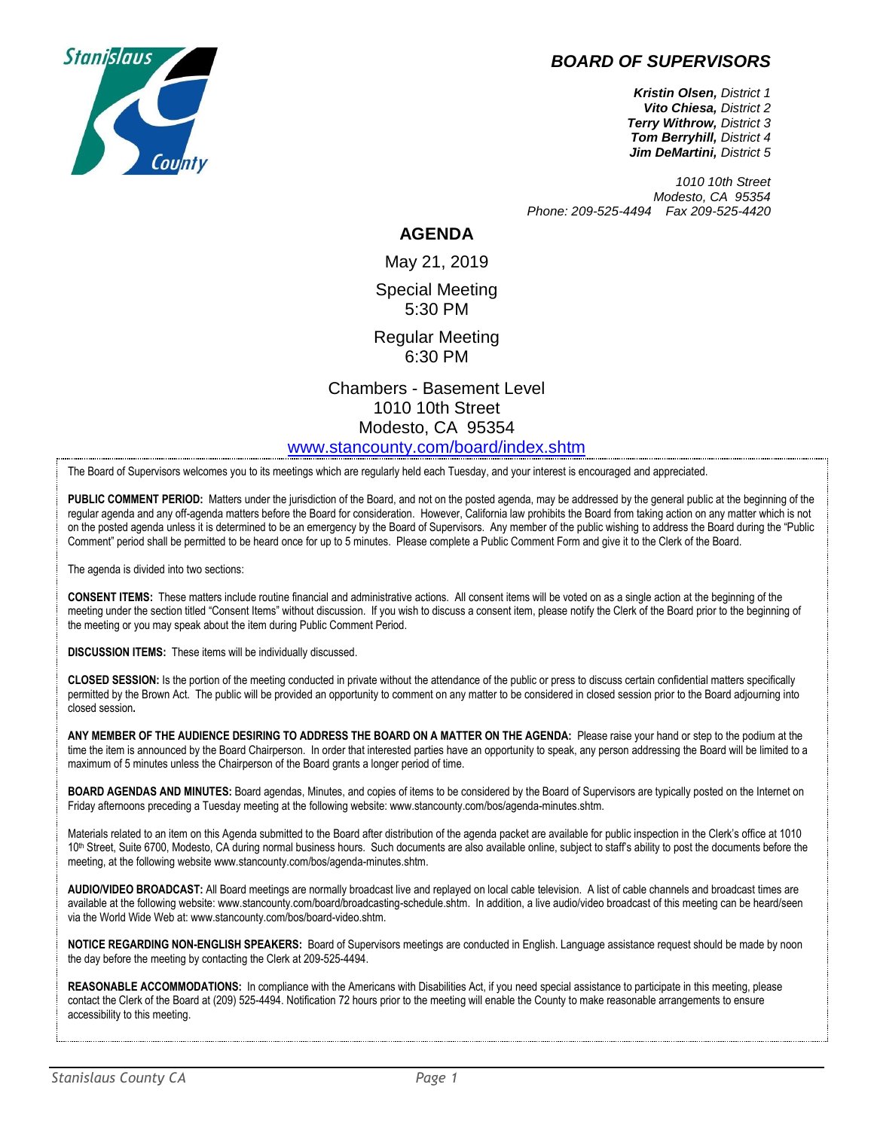

## *BOARD OF SUPERVISORS*

*Kristin Olsen, District 1 Vito Chiesa, District 2 Terry Withrow, District 3 Tom Berryhill, District 4 Jim DeMartini, District 5*

*1010 10th Street Modesto, CA 95354 Phone: 209-525-4494 Fax 209-525-4420*

## **AGENDA**

May 21, 2019 Special Meeting 5:30 PM

Regular Meeting 6:30 PM

Chambers - Basement Level 1010 10th Street Modesto, CA 95354 [www.stancounty.com/board/index.shtm](http://www.stancounty.com/board/index.shtm)

The Board of Supervisors welcomes you to its meetings which are regularly held each Tuesday, and your interest is encouraged and appreciated.

PUBLIC COMMENT PERIOD: Matters under the jurisdiction of the Board, and not on the posted agenda, may be addressed by the general public at the beginning of the regular agenda and any off-agenda matters before the Board for consideration. However, California law prohibits the Board from taking action on any matter which is not on the posted agenda unless it is determined to be an emergency by the Board of Supervisors. Any member of the public wishing to address the Board during the "Public Comment" period shall be permitted to be heard once for up to 5 minutes. Please complete a Public Comment Form and give it to the Clerk of the Board.

The agenda is divided into two sections:

**CONSENT ITEMS:** These matters include routine financial and administrative actions. All consent items will be voted on as a single action at the beginning of the meeting under the section titled "Consent Items" without discussion. If you wish to discuss a consent item, please notify the Clerk of the Board prior to the beginning of the meeting or you may speak about the item during Public Comment Period.

**DISCUSSION ITEMS:** These items will be individually discussed.

**CLOSED SESSION:** Is the portion of the meeting conducted in private without the attendance of the public or press to discuss certain confidential matters specifically permitted by the Brown Act. The public will be provided an opportunity to comment on any matter to be considered in closed session prior to the Board adjourning into closed session**.**

**ANY MEMBER OF THE AUDIENCE DESIRING TO ADDRESS THE BOARD ON A MATTER ON THE AGENDA:** Please raise your hand or step to the podium at the time the item is announced by the Board Chairperson. In order that interested parties have an opportunity to speak, any person addressing the Board will be limited to a maximum of 5 minutes unless the Chairperson of the Board grants a longer period of time.

**BOARD AGENDAS AND MINUTES:** Board agendas, Minutes, and copies of items to be considered by the Board of Supervisors are typically posted on the Internet on Friday afternoons preceding a Tuesday meeting at the following website: www.stancounty.com/bos/agenda-minutes.shtm.

Materials related to an item on this Agenda submitted to the Board after distribution of the agenda packet are available for public inspection in the Clerk's office at 1010 10<sup>th</sup> Street, Suite 6700, Modesto, CA during normal business hours. Such documents are also available online, subject to staff's ability to post the documents before the meeting, at the following website www.stancounty.com/bos/agenda-minutes.shtm.

**AUDIO/VIDEO BROADCAST:** All Board meetings are normally broadcast live and replayed on local cable television. A list of cable channels and broadcast times are available at the following website: www.stancounty.com/board/broadcasting-schedule.shtm. In addition, a live audio/video broadcast of this meeting can be heard/seen via the World Wide Web at: www.stancounty.com/bos/board-video.shtm.

**NOTICE REGARDING NON-ENGLISH SPEAKERS:** Board of Supervisors meetings are conducted in English. Language assistance request should be made by noon the day before the meeting by contacting the Clerk at 209-525-4494.

REASONABLE ACCOMMODATIONS: In compliance with the Americans with Disabilities Act, if you need special assistance to participate in this meeting, please contact the Clerk of the Board at (209) 525-4494. Notification 72 hours prior to the meeting will enable the County to make reasonable arrangements to ensure accessibility to this meeting.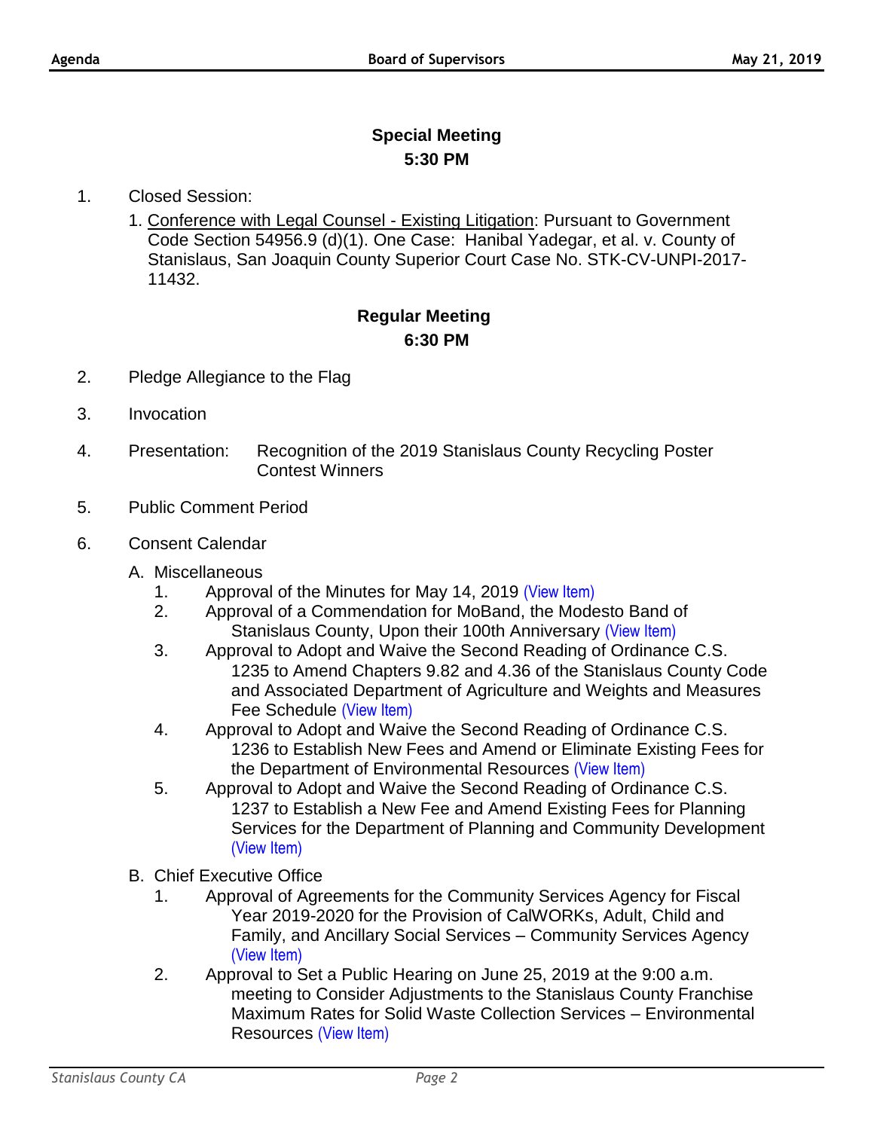## **Special Meeting 5:30 PM**

- 1. Closed Session:
	- 1. Conference with Legal Counsel Existing Litigation: Pursuant to Government Code Section 54956.9 (d)(1). One Case: Hanibal Yadegar, et al. v. County of Stanislaus, San Joaquin County Superior Court Case No. STK-CV-UNPI-2017- 11432.

## **Regular Meeting 6:30 PM**

- 2. Pledge Allegiance to the Flag
- 3. Invocation
- 4. Presentation: Recognition of the 2019 Stanislaus County Recycling Poster Contest Winners
- 5. Public Comment Period
- 6. Consent Calendar
	- A. Miscellaneous
		- 1. Approval of the Minutes for May 14, 2019 [\(View Item\)](http://www.stancounty.com/bos/minutes/2019/min05-14-19.pdf)
		- 2. Approval of a Commendation for MoBand, the Modesto Band of Stanislaus County, Upon their 100th Anniversary [\(View Item\)](http://www.stancounty.com/bos/agenda/2019/20190521/A02.pdf)
		- 3. Approval to Adopt and Waive the Second Reading of Ordinance C.S. 1235 to Amend Chapters 9.82 and 4.36 of the Stanislaus County Code and Associated Department of Agriculture and Weights and Measures Fee Schedule [\(View Item\)](http://www.stancounty.com/bos/agenda/2019/20190521/A03.pdf)
		- 4. Approval to Adopt and Waive the Second Reading of Ordinance C.S. 1236 to Establish New Fees and Amend or Eliminate Existing Fees for the Department of Environmental Resources [\(View Item\)](http://www.stancounty.com/bos/agenda/2019/20190521/A04.pdf)
		- 5. Approval to Adopt and Waive the Second Reading of Ordinance C.S. 1237 to Establish a New Fee and Amend Existing Fees for Planning Services for the Department of Planning and Community Development [\(View Item\)](http://www.stancounty.com/bos/agenda/2019/20190521/A05.pdf)
	- B. Chief Executive Office
		- 1. Approval of Agreements for the Community Services Agency for Fiscal Year 2019-2020 for the Provision of CalWORKs, Adult, Child and Family, and Ancillary Social Services – Community Services Agency [\(View Item\)](http://www.stancounty.com/bos/agenda/2019/20190521/B01.pdf)
		- 2. Approval to Set a Public Hearing on June 25, 2019 at the 9:00 a.m. meeting to Consider Adjustments to the Stanislaus County Franchise Maximum Rates for Solid Waste Collection Services – Environmental Resources [\(View Item\)](http://www.stancounty.com/bos/agenda/2019/20190521/B02.pdf)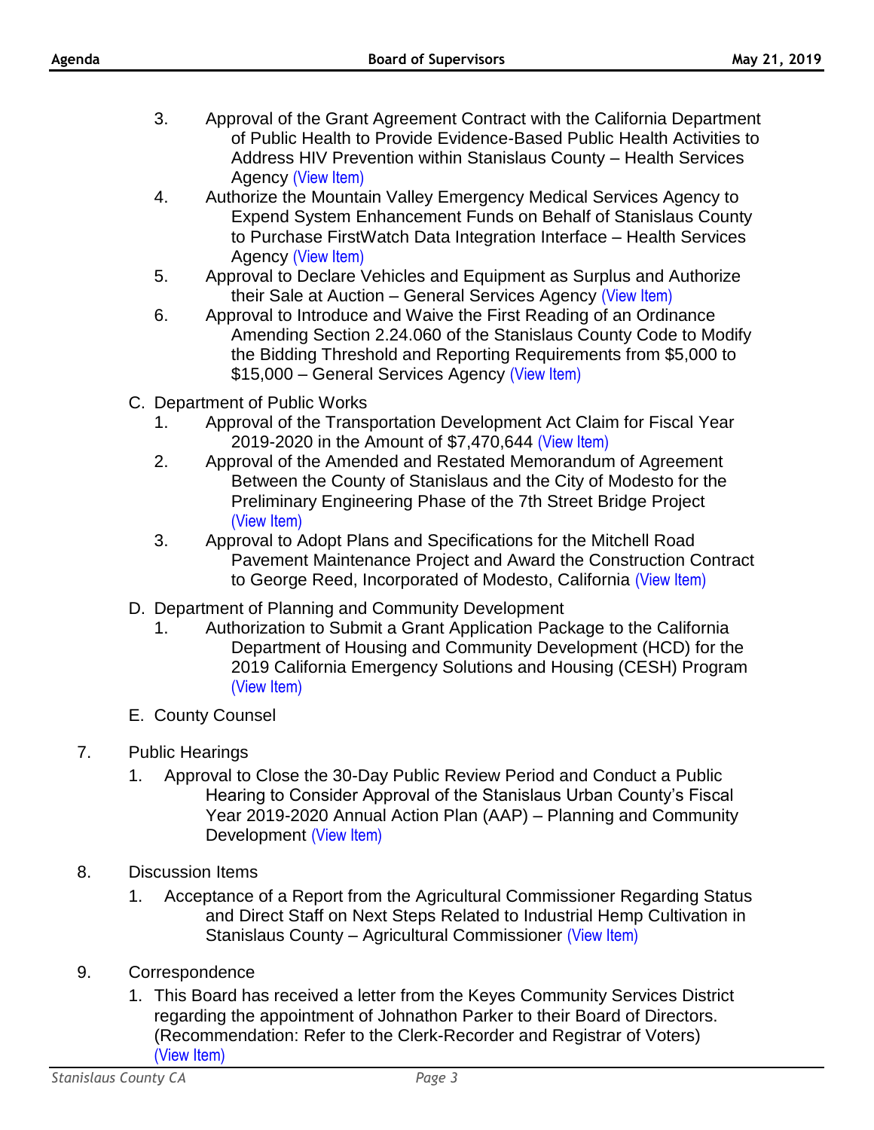- 3. Approval of the Grant Agreement Contract with the California Department of Public Health to Provide Evidence-Based Public Health Activities to Address HIV Prevention within Stanislaus County – Health Services Agency [\(View Item\)](http://www.stancounty.com/bos/agenda/2019/20190521/B03.pdf)
- 4. Authorize the Mountain Valley Emergency Medical Services Agency to Expend System Enhancement Funds on Behalf of Stanislaus County to Purchase FirstWatch Data Integration Interface – Health Services Agency [\(View Item\)](http://www.stancounty.com/bos/agenda/2019/20190521/B04.pdf)
- 5. Approval to Declare Vehicles and Equipment as Surplus and Authorize their Sale at Auction – General Services Agency [\(View Item\)](http://www.stancounty.com/bos/agenda/2019/20190521/B05.pdf)
- 6. Approval to Introduce and Waive the First Reading of an Ordinance Amending Section 2.24.060 of the Stanislaus County Code to Modify the Bidding Threshold and Reporting Requirements from \$5,000 to \$15,000 – General Services Agency [\(View Item\)](http://www.stancounty.com/bos/agenda/2019/20190521/B06.pdf)
- C. Department of Public Works
	- 1. Approval of the Transportation Development Act Claim for Fiscal Year 2019-2020 in the Amount of \$7,470,644 [\(View Item\)](http://www.stancounty.com/bos/agenda/2019/20190521/C01.pdf)
	- 2. Approval of the Amended and Restated Memorandum of Agreement Between the County of Stanislaus and the City of Modesto for the Preliminary Engineering Phase of the 7th Street Bridge Project [\(View Item\)](http://www.stancounty.com/bos/agenda/2019/20190521/C02.pdf)
	- 3. Approval to Adopt Plans and Specifications for the Mitchell Road Pavement Maintenance Project and Award the Construction Contract to George Reed, Incorporated of Modesto, California [\(View Item\)](http://www.stancounty.com/bos/agenda/2019/20190521/C03.pdf)
- D. Department of Planning and Community Development
	- 1. Authorization to Submit a Grant Application Package to the California Department of Housing and Community Development (HCD) for the 2019 California Emergency Solutions and Housing (CESH) Program [\(View Item\)](http://www.stancounty.com/bos/agenda/2019/20190521/D01.pdf)
- E. County Counsel
- 7. Public Hearings
	- 1. Approval to Close the 30-Day Public Review Period and Conduct a Public Hearing to Consider Approval of the Stanislaus Urban County's Fiscal Year 2019-2020 Annual Action Plan (AAP) – Planning and Community Development [\(View Item\)](http://www.stancounty.com/bos/agenda/2019/20190521/PH01.pdf)
- 8. Discussion Items
	- 1. Acceptance of a Report from the Agricultural Commissioner Regarding Status and Direct Staff on Next Steps Related to Industrial Hemp Cultivation in Stanislaus County – Agricultural Commissioner [\(View Item\)](http://www.stancounty.com/bos/agenda/2019/20190521/DIS01.pdf)
- 9. Correspondence
	- 1. This Board has received a letter from the Keyes Community Services District regarding the appointment of Johnathon Parker to their Board of Directors. (Recommendation: Refer to the Clerk-Recorder and Registrar of Voters) [\(View Item\)](http://www.stancounty.com/bos/agenda/2019/20190521/Corr01.pdf)